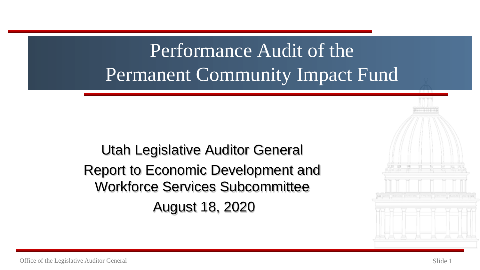### Performance Audit of the Permanent Community Impact Fund

#### Utah Legislative Auditor General Report to Economic Development and Workforce Services Subcommittee August 18, 2020

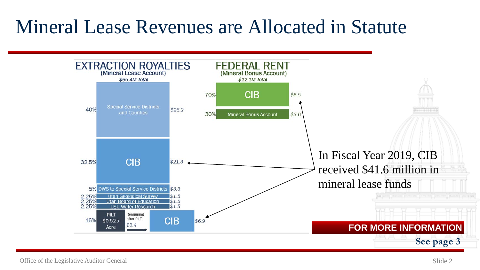#### Mineral Lease Revenues are Allocated in Statute



Office of the Legislative Auditor General Slide 2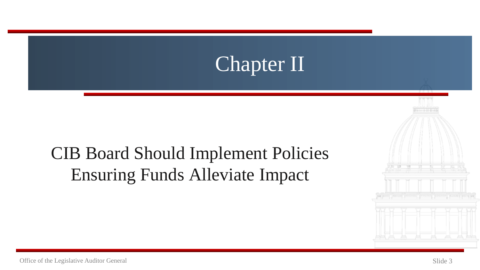

#### CIB Board Should Implement Policies Ensuring Funds Alleviate Impact



Office of the Legislative Auditor General Slide 3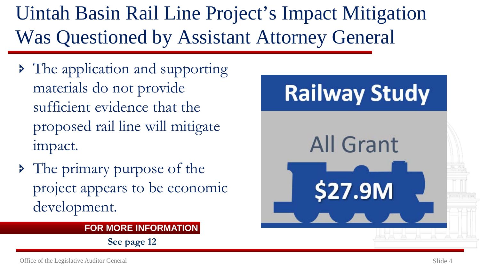### Uintah Basin Rail Line Project's Impact Mitigation Was Questioned by Assistant Attorney General

- The application and supporting materials do not provide sufficient evidence that the proposed rail line will mitigate impact.
- The primary purpose of the project appears to be economic development.

#### **FOR MORE INFORMATION**

**See page 12**

# **Railway Study**

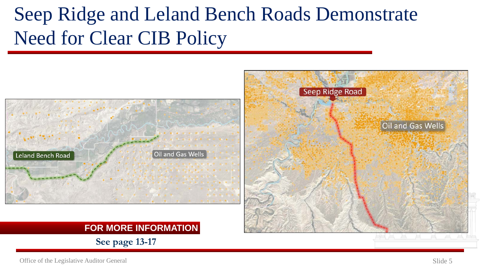### Seep Ridge and Leland Bench Roads Demonstrate Need for Clear CIB Policy



#### **FOR MORE INFORMATION**

**See page 13-17**



Office of the Legislative Auditor General Slide 5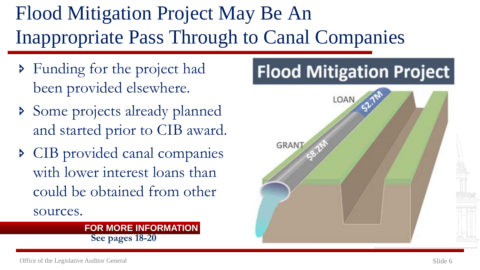## Flood Mitigation Project May Be An Inappropriate Pass Through to Canal Companies

- Funding for the project had been provided elsewhere.
- Some projects already planned and started prior to CIB award.
- CIB provided canal companies with lower interest loans than could be obtained from other sources.

#### **FOR MORE INFORMATION See pages 18-20**

## **Flood Mitigation Project**

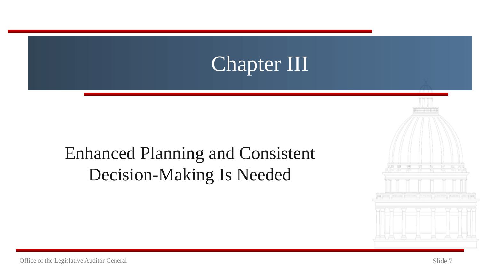

#### Enhanced Planning and Consistent Decision-Making Is Needed

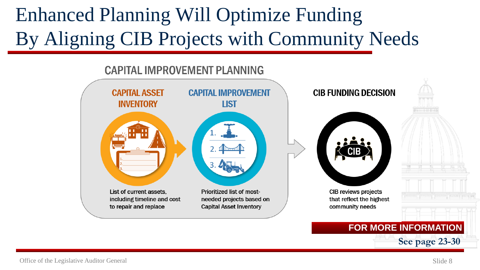## Enhanced Planning Will Optimize Funding By Aligning CIB Projects with Community Needs

#### **CAPITAL IMPROVEMENT PLANNING**



Chavaous has suel keeps beauthe

**See page 23-30**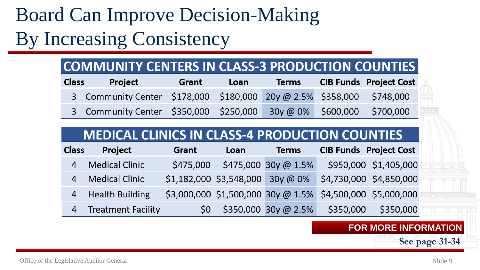### Board Can Improve Decision-Making By Increasing Consistency

#### **COMMUNITY CENTERS IN CLASS-3 PRODUCTION COUNTIES**

| <b>Class</b> | <b>Project</b>                                                        | Grant | Loan | <b>Terms</b> | <b>CIB Funds Project Cost</b> |
|--------------|-----------------------------------------------------------------------|-------|------|--------------|-------------------------------|
|              | 3 Community Center \$178,000 \$180,000 20y @ 2.5% \$358,000 \$748,000 |       |      |              |                               |
|              | 3 Community Center \$350,000 \$250,000 30y @ 0% \$600,000 \$700,000   |       |      |              |                               |

#### **MEDICAL CLINICS IN CLASS-4 PRODUCTION COUNTIES**

| <b>Class</b> | <b>Project</b>            | <b>Grant</b>    | Loan                              | <b>Terms</b>         |           | <b>CIB Funds Project Cost</b>                              |
|--------------|---------------------------|-----------------|-----------------------------------|----------------------|-----------|------------------------------------------------------------|
|              | <b>Medical Clinic</b>     | \$475,000       |                                   | \$475,000 30y @ 1.5% |           | \$950,000 \$1,405,000                                      |
|              | <b>Medical Clinic</b>     |                 | $$1,182,000$ \$3,548,000 30y @ 0% |                      |           | \$4,730,000 \$4,850,000                                    |
|              | <b>Health Building</b>    |                 |                                   |                      |           | \$3,000,000 \$1,500,000 30y @ 1.5% \$4,500,000 \$5,000,000 |
|              | <b>Treatment Facility</b> | 50 <sub>1</sub> |                                   | \$350,000 30y @ 2.5% | \$350,000 | \$350,000                                                  |

#### **FOR MORE INFORMATION**

**See page 31-34**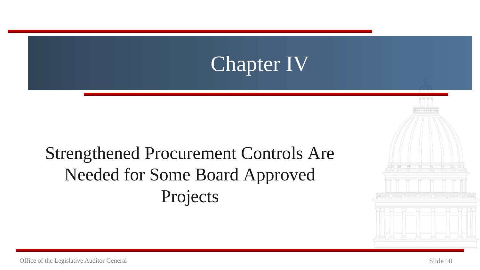## Chapter IV

#### Strengthened Procurement Controls Are Needed for Some Board Approved Projects

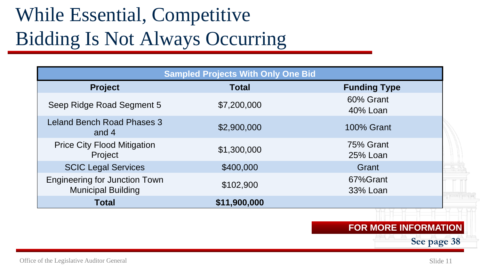## While Essential, Competitive Bidding Is Not Always Occurring

| <b>Sampled Projects With Only One Bid</b>                         |              |                       |  |  |  |  |
|-------------------------------------------------------------------|--------------|-----------------------|--|--|--|--|
| <b>Project</b>                                                    | <b>Total</b> | <b>Funding Type</b>   |  |  |  |  |
| Seep Ridge Road Segment 5                                         | \$7,200,000  | 60% Grant<br>40% Loan |  |  |  |  |
| <b>Leland Bench Road Phases 3</b><br>and 4                        | \$2,900,000  | <b>100% Grant</b>     |  |  |  |  |
| <b>Price City Flood Mitigation</b><br><b>Project</b>              | \$1,300,000  | 75% Grant<br>25% Loan |  |  |  |  |
| <b>SCIC Legal Services</b>                                        | \$400,000    | Grant                 |  |  |  |  |
| <b>Engineering for Junction Town</b><br><b>Municipal Building</b> | \$102,900    | 67%Grant<br>33% Loan  |  |  |  |  |
| <b>Total</b>                                                      | \$11,900,000 |                       |  |  |  |  |

#### **FOR MORE INFORMATION**

**See page 38**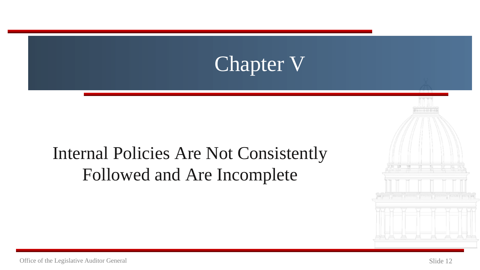

#### Internal Policies Are Not Consistently Followed and Are Incomplete

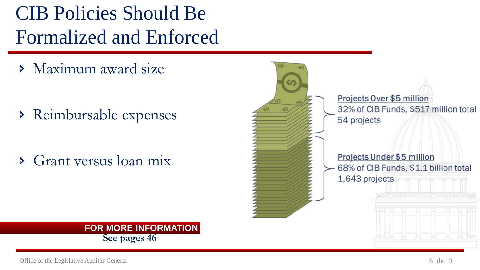## CIB Policies Should Be Formalized and Enforced

Maximum award size

Reimbursable expenses

Grant versus loan mix



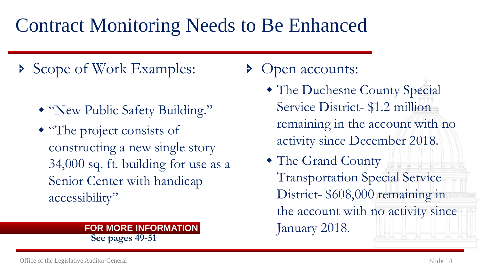#### Contract Monitoring Needs to Be Enhanced

- Scope of Work Examples:
	- "New Public Safety Building."
	- "The project consists of constructing a new single story 34,000 sq. ft. building for use as a Senior Center with handicap accessibility"

#### **FOR MORE INFORMATION See pages 49-51**

**>** Open accounts:

- The Duchesne County Special Service District- \$1.2 million remaining in the account with no activity since December 2018.
- The Grand County Transportation Special Service District-  $$608,000$  remaining in the account with no activity since January 2018.